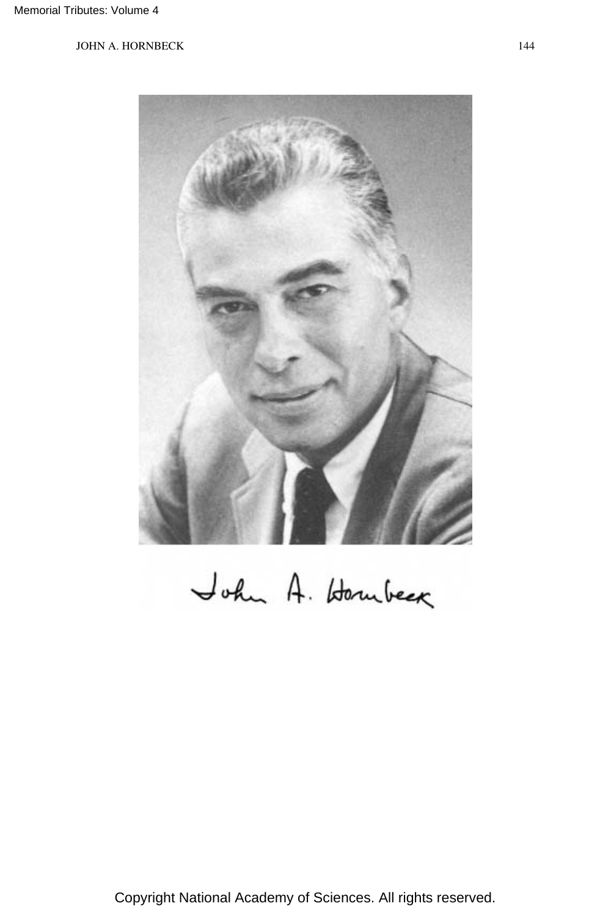

John A. Homberg

Copyright National Academy of Sciences. All rights reserved.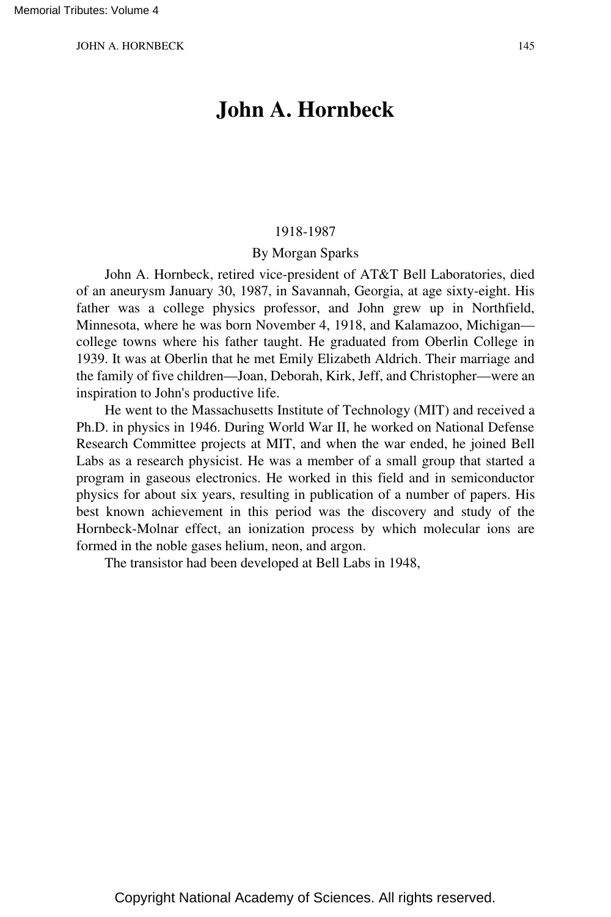# **John A. Hornbeck**

#### 1918-1987

#### By Morgan Sparks

John A. Hornbeck, retired vice-president of AT&T Bell Laboratories, died of an aneurysm January 30, 1987, in Savannah, Georgia, at age sixty-eight. His father was a college physics professor, and John grew up in Northfield, Minnesota, where he was born November 4, 1918, and Kalamazoo, Michigan college towns where his father taught. He graduated from Oberlin College in 1939. It was at Oberlin that he met Emily Elizabeth Aldrich. Their marriage and the family of five children—Joan, Deborah, Kirk, Jeff, and Christopher—were an inspiration to John's productive life.

He went to the Massachusetts Institute of Technology (MIT) and received a Ph.D. in physics in 1946. During World War II, he worked on National Defense Research Committee projects at MIT, and when the war ended, he joined Bell Labs as a research physicist. He was a member of a small group that started a program in gaseous electronics. He worked in this field and in semiconductor physics for about six years, resulting in publication of a number of papers. His best known achievement in this period was the discovery and study of the Hornbeck-Molnar effect, an ionization process by which molecular ions are formed in the noble gases helium, neon, and argon.

The transistor had been developed at Bell Labs in 1948,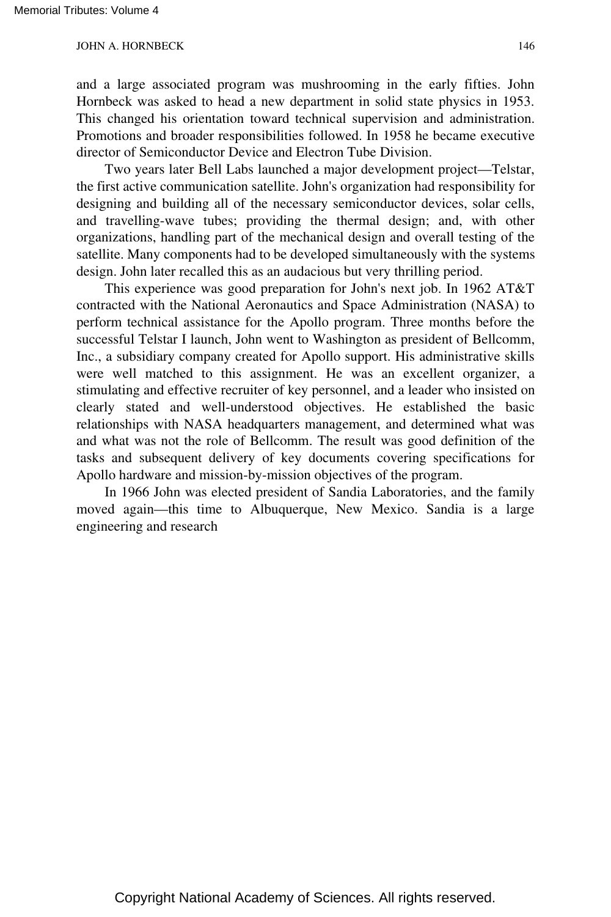and a large associated program was mushrooming in the early fifties. John Hornbeck was asked to head a new department in solid state physics in 1953. This changed his orientation toward technical supervision and administration. Promotions and broader responsibilities followed. In 1958 he became executive director of Semiconductor Device and Electron Tube Division.

Two years later Bell Labs launched a major development project—Telstar, the first active communication satellite. John's organization had responsibility for designing and building all of the necessary semiconductor devices, solar cells, and travelling-wave tubes; providing the thermal design; and, with other organizations, handling part of the mechanical design and overall testing of the satellite. Many components had to be developed simultaneously with the systems design. John later recalled this as an audacious but very thrilling period.

This experience was good preparation for John's next job. In 1962 AT&T contracted with the National Aeronautics and Space Administration (NASA) to perform technical assistance for the Apollo program. Three months before the successful Telstar I launch, John went to Washington as president of Bellcomm, Inc., a subsidiary company created for Apollo support. His administrative skills were well matched to this assignment. He was an excellent organizer, a stimulating and effective recruiter of key personnel, and a leader who insisted on clearly stated and well-understood objectives. He established the basic relationships with NASA headquarters management, and determined what was and what was not the role of Bellcomm. The result was good definition of the tasks and subsequent delivery of key documents covering specifications for Apollo hardware and mission-by-mission objectives of the program.

In 1966 John was elected president of Sandia Laboratories, and the family moved again—this time to Albuquerque, New Mexico. Sandia is a large engineering and research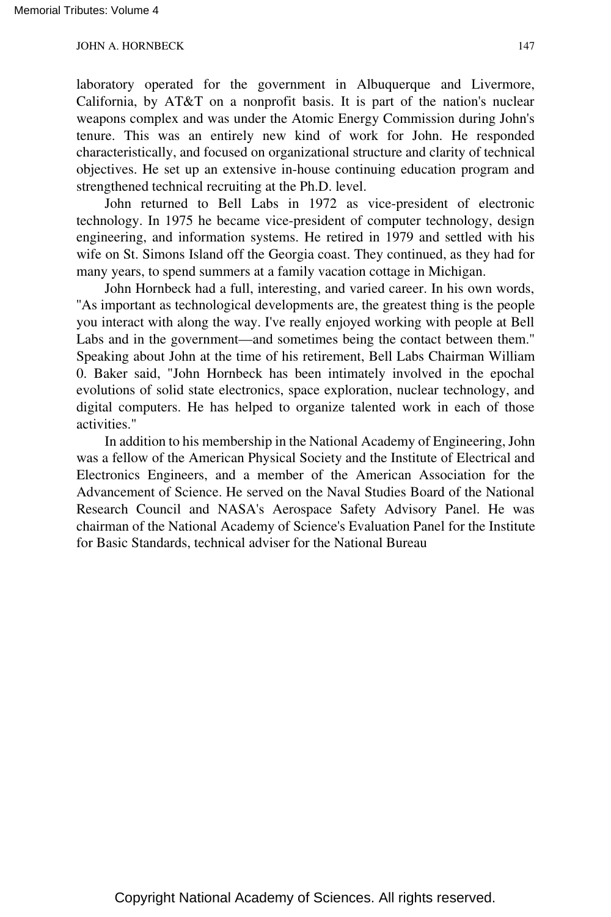laboratory operated for the government in Albuquerque and Livermore, California, by AT&T on a nonprofit basis. It is part of the nation's nuclear weapons complex and was under the Atomic Energy Commission during John's tenure. This was an entirely new kind of work for John. He responded characteristically, and focused on organizational structure and clarity of technical objectives. He set up an extensive in-house continuing education program and strengthened technical recruiting at the Ph.D. level.

John returned to Bell Labs in 1972 as vice-president of electronic technology. In 1975 he became vice-president of computer technology, design engineering, and information systems. He retired in 1979 and settled with his wife on St. Simons Island off the Georgia coast. They continued, as they had for many years, to spend summers at a family vacation cottage in Michigan.

John Hornbeck had a full, interesting, and varied career. In his own words, ''As important as technological developments are, the greatest thing is the people you interact with along the way. I've really enjoyed working with people at Bell Labs and in the government—and sometimes being the contact between them.'' Speaking about John at the time of his retirement, Bell Labs Chairman William 0. Baker said, "John Hornbeck has been intimately involved in the epochal evolutions of solid state electronics, space exploration, nuclear technology, and digital computers. He has helped to organize talented work in each of those activities."

In addition to his membership in the National Academy of Engineering, John was a fellow of the American Physical Society and the Institute of Electrical and Electronics Engineers, and a member of the American Association for the Advancement of Science. He served on the Naval Studies Board of the National Research Council and NASA's Aerospace Safety Advisory Panel. He was chairman of the National Academy of Science's Evaluation Panel for the Institute for Basic Standards, technical adviser for the National Bureau